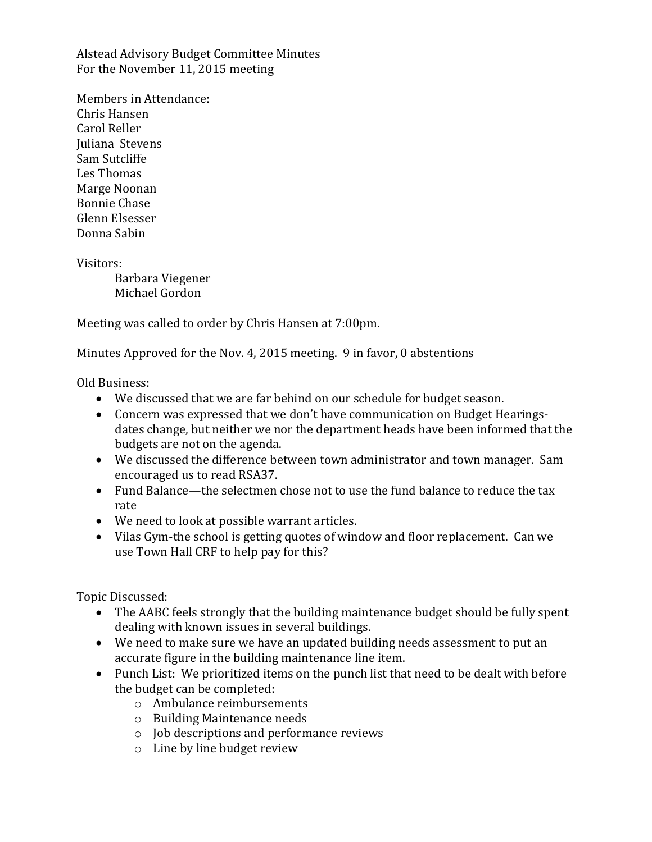Alstead Advisory Budget Committee Minutes For the November 11, 2015 meeting

Members in Attendance: Chris Hansen Carol Reller Juliana Stevens Sam Sutcliffe Les Thomas Marge Noonan Bonnie Chase Glenn Elsesser Donna Sabin

Visitors:

Barbara Viegener Michael Gordon

Meeting was called to order by Chris Hansen at 7:00pm.

Minutes Approved for the Nov. 4, 2015 meeting. 9 in favor, 0 abstentions

Old Business:

- We discussed that we are far behind on our schedule for budget season.
- Concern was expressed that we don't have communication on Budget Hearingsdates change, but neither we nor the department heads have been informed that the budgets are not on the agenda.
- We discussed the difference between town administrator and town manager. Sam encouraged us to read RSA37.
- Fund Balance—the selectmen chose not to use the fund balance to reduce the tax rate
- We need to look at possible warrant articles.
- Vilas Gym-the school is getting quotes of window and floor replacement. Can we use Town Hall CRF to help pay for this?

Topic Discussed:

- The AABC feels strongly that the building maintenance budget should be fully spent dealing with known issues in several buildings.
- We need to make sure we have an updated building needs assessment to put an accurate figure in the building maintenance line item.
- Punch List: We prioritized items on the punch list that need to be dealt with before the budget can be completed:
	- o Ambulance reimbursements
	- o Building Maintenance needs
	- o Job descriptions and performance reviews
	- o Line by line budget review